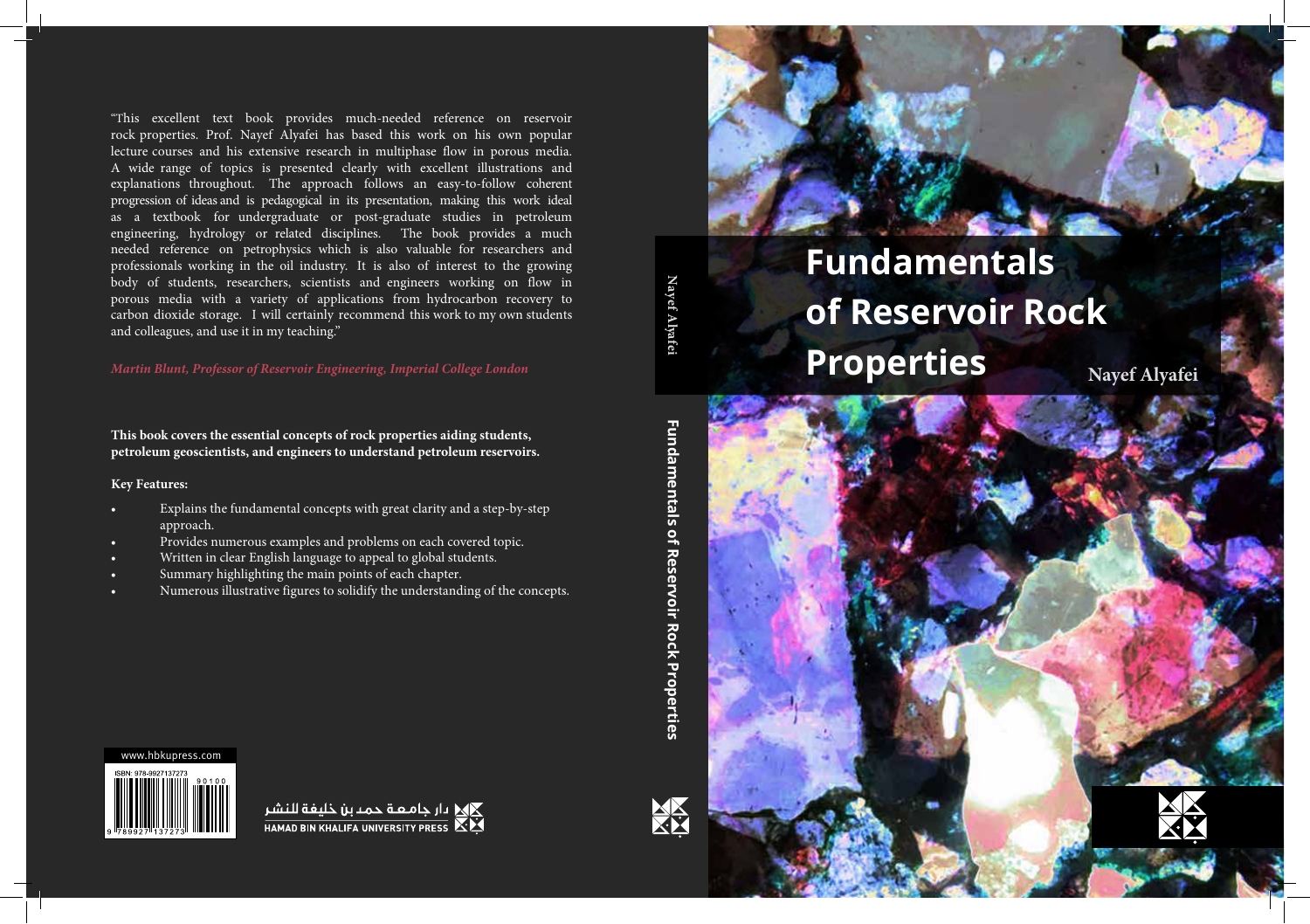"This excellent text book provides much-needed reference on reservoir rock properties. Prof. Nayef Alyafei has based this work on his own popular lecture courses and his extensive research in multiphase flow in porous media. A wide range of topics is presented clearly with excellent illustrations and explanations throughout. The approach follows an easy-to-follow coherent progression of ideas and is pedagogical in its presentation, making this work ideal as a textbook for undergraduate or post-graduate studies in petroleum engineering, hydrology or related disciplines. The book provides a much needed reference on petrophysics which is also valuable for researchers and professionals working in the oil industry. It is also of interest to the growing body of students, researchers, scientists and engineers working on flow in porous media with a variety of applications from hydrocarbon recovery to carbon dioxide storage. I will certainly recommend this work to my own students and colleagues, and use it in my teaching."

*Martin Blunt, Professor of Reservoir Engineering, Imperial College London*

**This book covers the essential concepts of rock properties aiding students, petroleum geoscientists, and engineers to understand petroleum reservoirs.** 

# **Key Features:**

- Explains the fundamental concepts with great clarity and a step-by-step approach.
- Provides numerous examples and problems on each covered topic.
- Written in clear English language to appeal to global students.
- Summary highlighting the main points of each chapter.
- Numerous illustrative figures to solidify the understanding of the concepts.



**Nayef Al**

**yafei**



# **Fundamentals of Reservoir Rock Properties Nayef Alyafei**





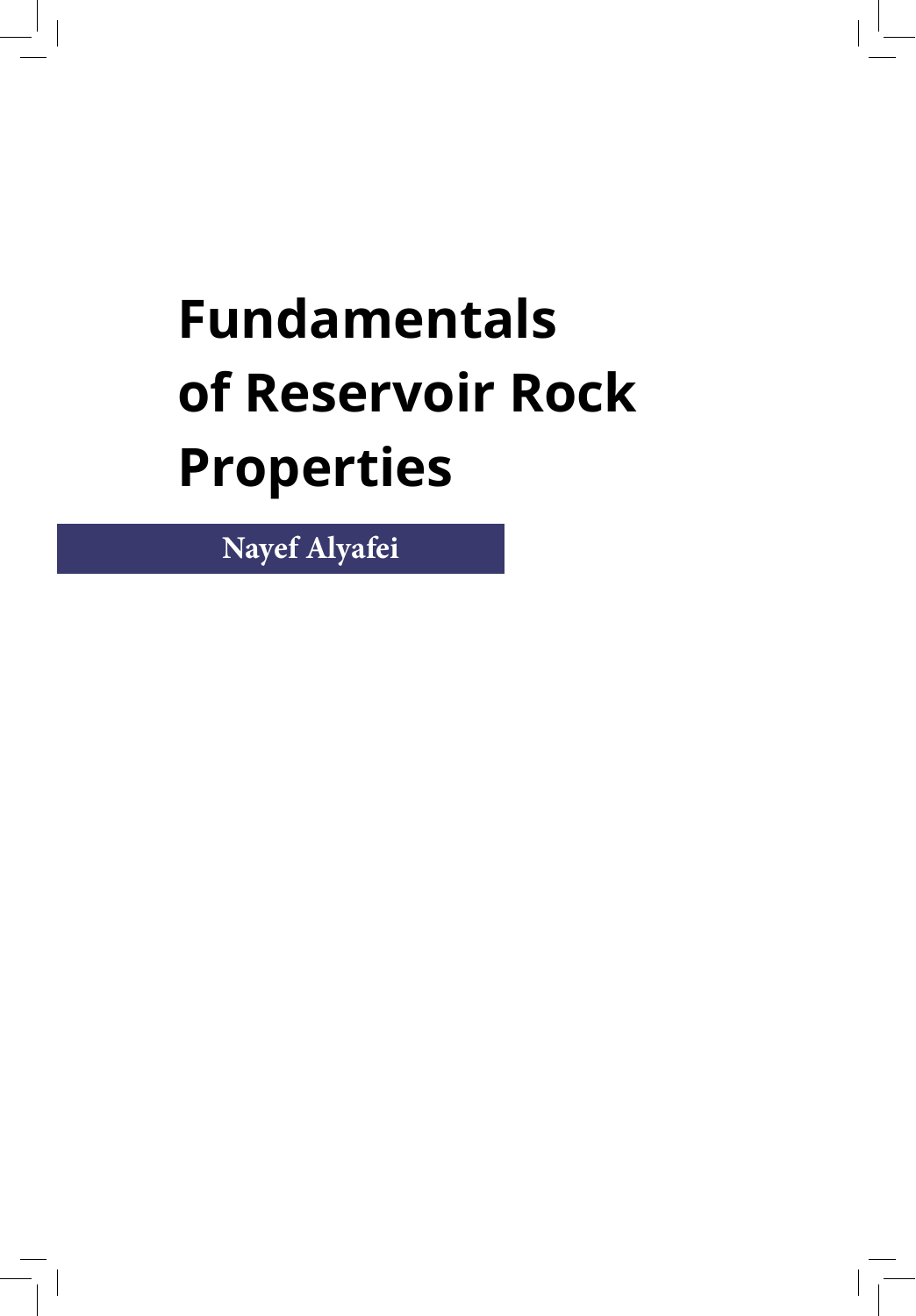# **Fundamentals of Reservoir Rock Properties**

**Nayef Alyafei**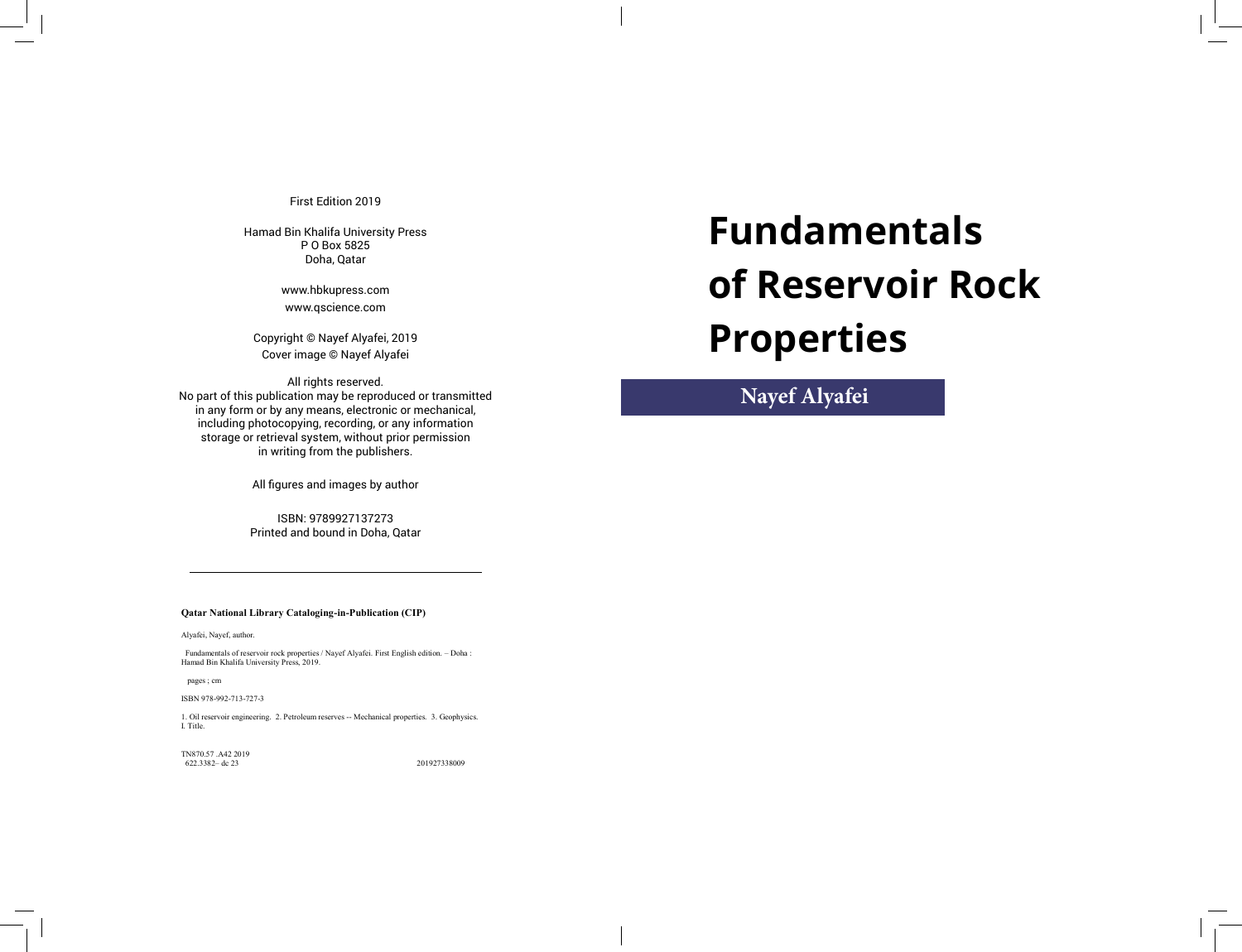First Edition 2019

Hamad Bin Khalifa University Press P O Box 5825 Doha, Qatar

> www.hbkupress.com www.qscience.com

Copyright © Nayef Alyafei, 2019 Cover image © Nayef Alyafei

All rights reserved. No part of this publication may be reproduced or transmitted in any form or by any means, electronic or mechanical, including photocopying, recording, or any information storage or retrieval system, without prior permission in writing from the publishers.

All figures and images by author

ISBN: 9789927137273 Printed and bound in Doha, Qatar

# **Fundamentals of Reservoir Rock Properties**

**Nayef Alyafei**

**Qatar National Library Cataloging-in-Publication (CIP)** 

Alyafei, Nayef, author.

 Fundamentals of reservoir rock properties / Nayef Alyafei. First English edition. – Doha : Hamad Bin Khalifa University Press, 2019.

pages ; cm

ISBN 978-992-713-727-3

1. Oil reservoir engineering. 2. Petroleum reserves -- Mechanical properties. 3. Geophysics. I. Title.

TN870.57 .A42 2019 622.3382– dc 23 201927338009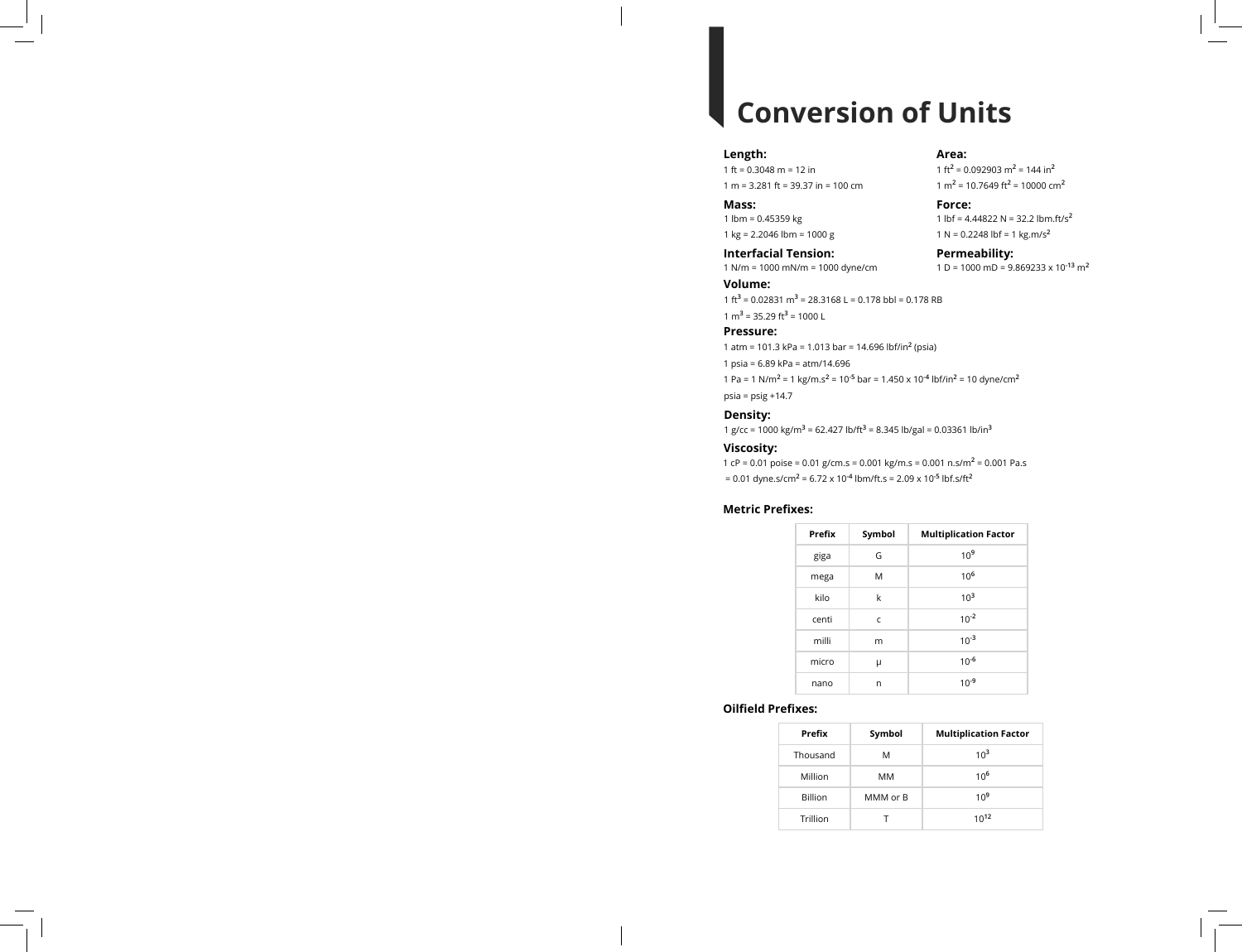# **Conversion of Units**

#### **Length:**

1 ft = 0.3048 m = 12 in 1 m = 3.281 ft = 39.37 in = 100 cm

**Mass:**

1 lbm = 0.45359 kg 1 kg = 2.2046 lbm = 1000 g

**Interfacial Tension: Permeability:** 1 N/m = 1000 mN/m = 1000 dyne/cm 1 D = 1000 mD = 9.869233 x 10**-13** m**<sup>2</sup>**

**Volume:** 1 ft<sup>3</sup> = 0.02831 m<sup>3</sup> = 28.3168 L = 0.178 bbl = 0.178 RB 1 m<sup>3</sup> = 35.29 ft<sup>3</sup> = 1000 L

## **Pressure:**

1 atm = 101.3 kPa = 1.013 bar = 14.696 lbf/in**<sup>2</sup>** (psia)

1 psia = 6.89 kPa = atm/14.696

1 Pa = 1 N/m**<sup>2</sup>** = 1 kg/m.s**<sup>2</sup>** = 10**-5** bar = 1.450 x 10**-4** lbf/in**<sup>2</sup>** = 10 dyne/cm**<sup>2</sup>** psia = psig +14.7

## **Density:**

1 g/cc = 1000 kg/m**<sup>3</sup>** = 62.427 lb/ft**<sup>3</sup>** = 8.345 lb/gal = 0.03361 lb/in**<sup>3</sup>**

## **Viscosity:**

1 cP = 0.01 poise = 0.01 g/cm.s = 0.001 kg/m.s = 0.001 n.s/m**<sup>2</sup>** = 0.001 Pa.s = 0.01 dyne.s/cm**<sup>2</sup>** = 6.72 x 10**-4** lbm/ft.s = 2.09 x 10**-5** lbf.s/ft**<sup>2</sup>**

## **Metric Prefixes:**

| Prefix | Symbol | <b>Multiplication Factor</b> |
|--------|--------|------------------------------|
| giga   | G      | 10 <sup>9</sup>              |
| mega   | M      | $10^{6}$                     |
| kilo   | k      | $10^{3}$                     |
| centi  | C      | $10^{-2}$                    |
| milli  | m      | $10^{-3}$                    |
| micro  | μ      | $10^{-6}$                    |
| nano   | n      | $10^{-9}$                    |

## **Oilfield Prefixes:**

| Prefix         | Symbol   | <b>Multiplication Factor</b> |
|----------------|----------|------------------------------|
| Thousand       | м        | $10^3$                       |
| Million        | MМ       | 10 <sup>6</sup>              |
| <b>Billion</b> | MMM or B | 10 <sup>9</sup>              |
| Trillion       |          | 10 <sup>12</sup>             |

**Area:** 1 ft<sup>2</sup> = 0.092903 m<sup>2</sup> = 144 in<sup>2</sup> 1 m**<sup>2</sup>** = 10.7649 ft**<sup>2</sup>** = 10000 cm**<sup>2</sup>**

**Force:** 1 lbf = 4.44822 N = 32.2 lbm.ft/s**<sup>2</sup>** 1 N = 0.2248 lbf = 1 kg.m/s**<sup>2</sup>**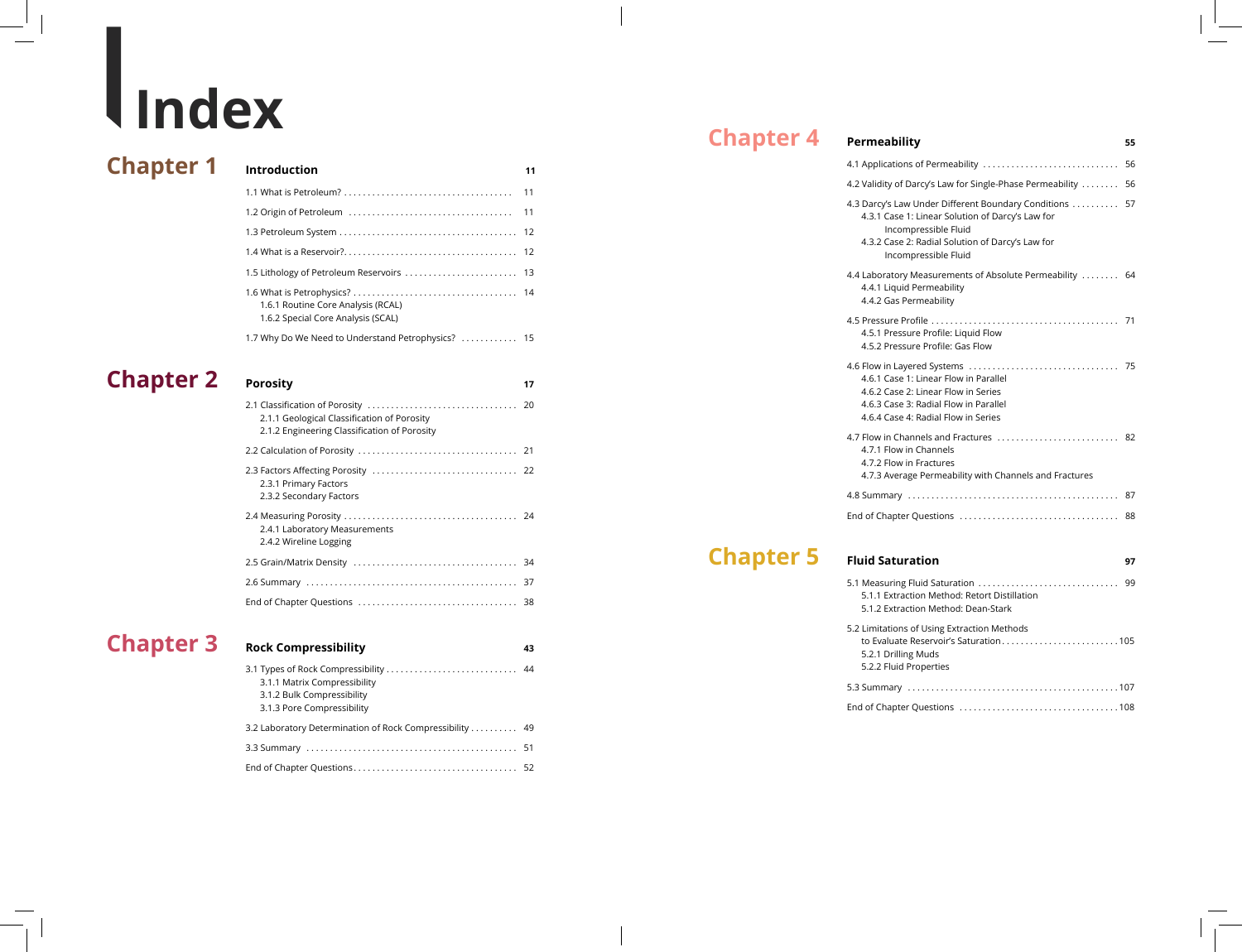# **Index**

# **Chapter 1 Introduction**

| Introduction                                                             | 11 |
|--------------------------------------------------------------------------|----|
|                                                                          |    |
|                                                                          |    |
|                                                                          |    |
|                                                                          |    |
|                                                                          |    |
| 1.6.1 Routine Core Analysis (RCAL)<br>1.6.2 Special Core Analysis (SCAL) |    |
| 1.7 Why Do We Need to Understand Petrophysics?  15                       |    |

# **Porosity Chapter 2**

| 2.1.1 Geological Classification of Porosity<br>2.1.2 Engineering Classification of Porosity |  |
|---------------------------------------------------------------------------------------------|--|
|                                                                                             |  |
| 2.3.1 Primary Factors<br>2.3.2 Secondary Factors                                            |  |
| 2.4.1 Laboratory Measurements<br>2.4.2 Wireline Logging                                     |  |
|                                                                                             |  |
|                                                                                             |  |
|                                                                                             |  |
|                                                                                             |  |

# **Chapter 3**

| <b>Rock Compressibility</b> |  |
|-----------------------------|--|
|-----------------------------|--|

| 3.1.1 Matrix Compressibility                            |  |
|---------------------------------------------------------|--|
| 3.1.2 Bulk Compressibility                              |  |
| 3.1.3 Pore Compressibility                              |  |
| 3.2 Laboratory Determination of Rock Compressibility 49 |  |
|                                                         |  |
|                                                         |  |

**43**

**17**

#### **Permeability Chapter 4**

| 4.1 Applications of Permeability                                                                                                                                                                            | 56 |
|-------------------------------------------------------------------------------------------------------------------------------------------------------------------------------------------------------------|----|
| 4.2 Validity of Darcy's Law for Single-Phase Permeability                                                                                                                                                   | 56 |
| 4.3 Darcy's Law Under Different Boundary Conditions<br>4.3.1 Case 1: Linear Solution of Darcy's Law for<br>Incompressible Fluid<br>4.3.2 Case 2: Radial Solution of Darcy's Law for<br>Incompressible Fluid | 57 |
| 4.4 Laboratory Measurements of Absolute Permeability  64<br>4.4.1 Liquid Permeability<br>4.4.2 Gas Permeability                                                                                             |    |
| 4.5.1 Pressure Profile: Liquid Flow<br>4.5.2 Pressure Profile: Gas Flow                                                                                                                                     |    |
| 4.6.1 Case 1: Linear Flow in Parallel<br>4.6.2 Case 2: Linear Flow in Series<br>4.6.3 Case 3: Radial Flow in Parallel<br>4.6.4 Case 4: Radial Flow in Series                                                |    |
| 4.7 Flow in Channels and Fractures  82<br>4.7.1 Flow in Channels<br>4.7.2 Flow in Fractures<br>4.7.3 Average Permeability with Channels and Fractures                                                       |    |
|                                                                                                                                                                                                             |    |
|                                                                                                                                                                                                             |    |

# **Chapter 5 Fluid Saturation**

| 5.1.1 Extraction Method: Retort Distillation |
|----------------------------------------------|
| 5.1.2 Extraction Method: Dean-Stark          |
| 5.2 Limitations of Using Extraction Methods  |
| to Evaluate Reservoir's Saturation105        |
| 5.2.1 Drilling Muds                          |
| 5.2.2 Fluid Properties                       |
|                                              |
|                                              |

# **55**

**97**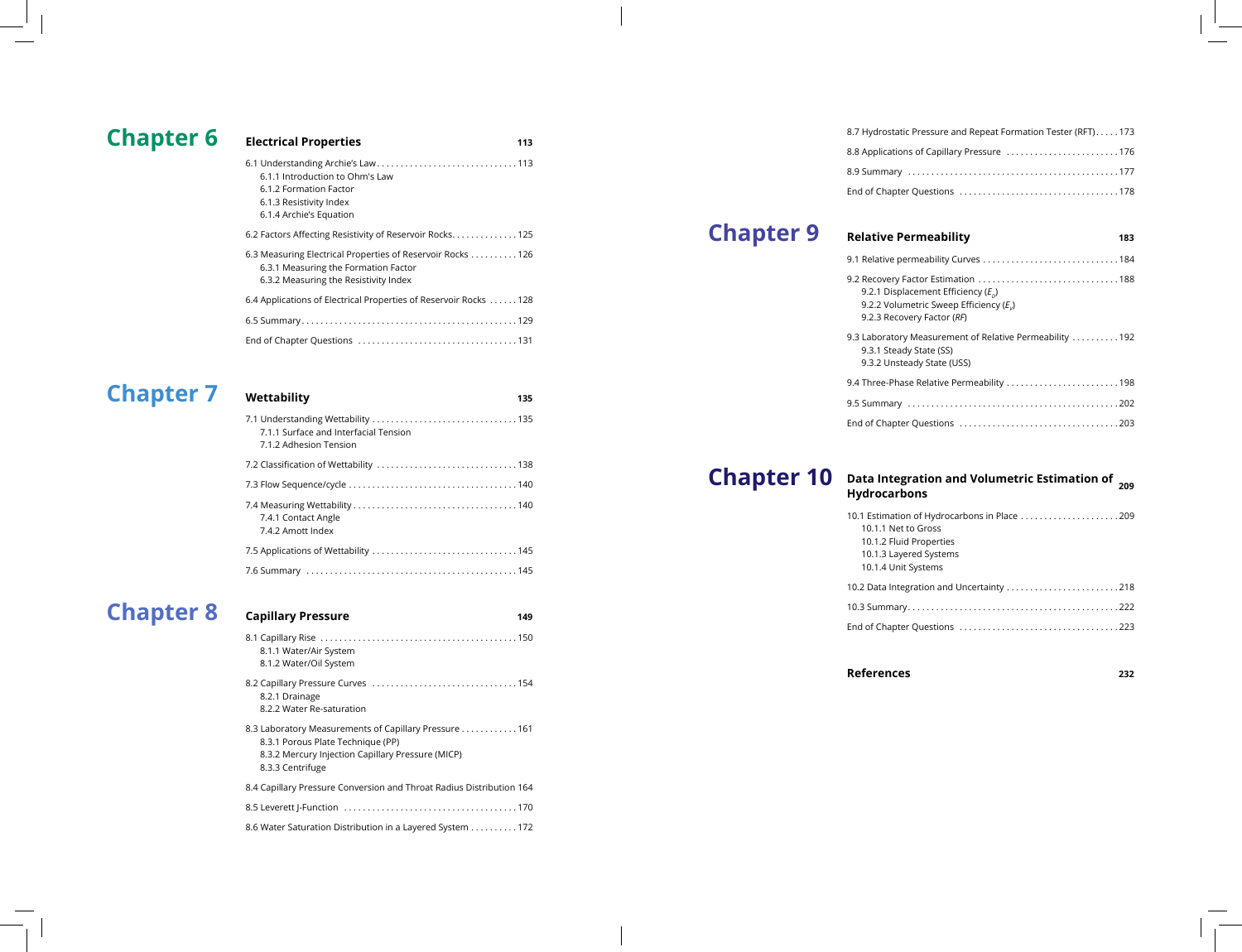# **Chapter 6 Electrical Properties**

| 6.1.1 Introduction to Ohm's Law<br>6.1.2 Formation Factor<br>6.1.3 Resistivity Index<br>6.1.4 Archie's Equation                              |  |
|----------------------------------------------------------------------------------------------------------------------------------------------|--|
| 6.2 Factors Affecting Resistivity of Reservoir Rocks 125                                                                                     |  |
| 6.3 Measuring Electrical Properties of Reservoir Rocks  126<br>6.3.1 Measuring the Formation Factor<br>6.3.2 Measuring the Resistivity Index |  |
| 6.4 Applications of Electrical Properties of Reservoir Rocks  128                                                                            |  |
|                                                                                                                                              |  |
|                                                                                                                                              |  |

**113**

# **Chapter 7**

| Wettability<br>135                                              |  |
|-----------------------------------------------------------------|--|
| 7.1.1 Surface and Interfacial Tension<br>7.1.2 Adhesion Tension |  |
|                                                                 |  |
|                                                                 |  |
| 7.4.1 Contact Angle<br>7.4.2 Amott Index                        |  |
|                                                                 |  |
|                                                                 |  |

# **Chapter 8** Capillary Pressure

**149**

| 8.1.1 Water/Air System<br>8.1.2 Water/Oil System                                                                                                                    |
|---------------------------------------------------------------------------------------------------------------------------------------------------------------------|
| 8.2.1 Drainage<br>8.2.2 Water Re-saturation                                                                                                                         |
| 8.3 Laboratory Measurements of Capillary Pressure 161<br>8.3.1 Porous Plate Technique (PP)<br>8.3.2 Mercury Injection Capillary Pressure (MICP)<br>8.3.3 Centrifuge |
| 8.4 Capillary Pressure Conversion and Throat Radius Distribution 164                                                                                                |
|                                                                                                                                                                     |
| 8.6 Water Saturation Distribution in a Layered System 172                                                                                                           |

| 8.7 Hydrostatic Pressure and Repeat Formation Tester (RFT)173 |  |
|---------------------------------------------------------------|--|
| 8.8 Applications of Capillary Pressure 176                    |  |
|                                                               |  |
|                                                               |  |
|                                                               |  |

# **Chapter 9**

# **Relative Permeability**

| 9.2.1 Displacement Efficiency ( $E_p$ )<br>9.2.2 Volumetric Sweep Efficiency ( $E_{v}$ )<br>9.2.3 Recovery Factor (RF) |
|------------------------------------------------------------------------------------------------------------------------|
| 9.3 Laboratory Measurement of Relative Permeability 192<br>9.3.1 Steady State (SS)<br>9.3.2 Unsteady State (USS)       |
|                                                                                                                        |
|                                                                                                                        |
|                                                                                                                        |

# **Chapter 10**

# **209 Data Integration and Volumetric Estimation of Hydrocarbons**

| 10.1 Estimation of Hydrocarbons in Place 209 |  |
|----------------------------------------------|--|
| 10.1.1 Net to Gross                          |  |
| 10.1.2 Fluid Properties                      |  |
| 10.1.3 Layered Systems                       |  |
| 10.1.4 Unit Systems                          |  |
| 10.2 Data Integration and Uncertainty 218    |  |
|                                              |  |
|                                              |  |
|                                              |  |

**References**

**232**

**183**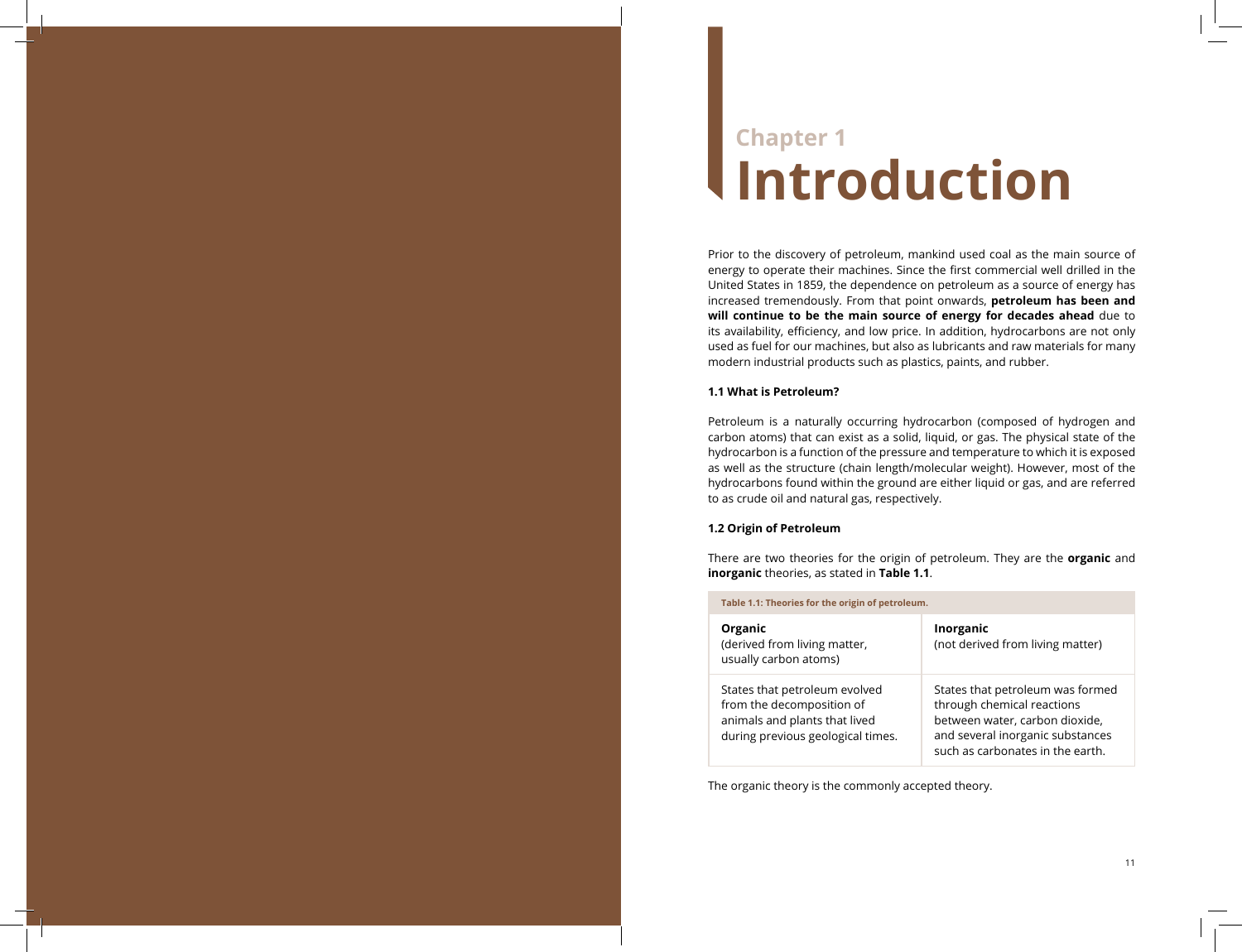# **Chapter 1 Introduction**

Prior to the discovery of petroleum, mankind used coal as the main source of energy to operate their machines. Since the first commercial well drilled in the United States in 1859, the dependence on petroleum as a source of energy has increased tremendously. From that point onwards, **petroleum has been and will continue to be the main source of energy for decades ahead** due to its availability, efficiency, and low price. In addition, hydrocarbons are not only used as fuel for our machines, but also as lubricants and raw materials for many modern industrial products such as plastics, paints, and rubber.

### **1.1 What is Petroleum?**

Petroleum is a naturally occurring hydrocarbon (composed of hydrogen and carbon atoms) that can exist as a solid, liquid, or gas. The physical state of the hydrocarbon is a function of the pressure and temperature to which it is exposed as well as the structure (chain length/molecular weight). However, most of the hydrocarbons found within the ground are either liquid or gas, and are referred to as crude oil and natural gas, respectively.

## **1.2 Origin of Petroleum**

There are two theories for the origin of petroleum. They are the **organic** and **inorganic** theories, as stated in **Table 1.1** .

| Table 1.1: Theories for the origin of petroleum.                                                                                 |                                                                                                                                                                          |  |
|----------------------------------------------------------------------------------------------------------------------------------|--------------------------------------------------------------------------------------------------------------------------------------------------------------------------|--|
| Organic<br>(derived from living matter,<br>usually carbon atoms)                                                                 | Inorganic<br>(not derived from living matter)                                                                                                                            |  |
| States that petroleum evolved<br>from the decomposition of<br>animals and plants that lived<br>during previous geological times. | States that petroleum was formed<br>through chemical reactions<br>between water, carbon dioxide,<br>and several inorganic substances<br>such as carbonates in the earth. |  |

The organic theory is the commonly accepted theory.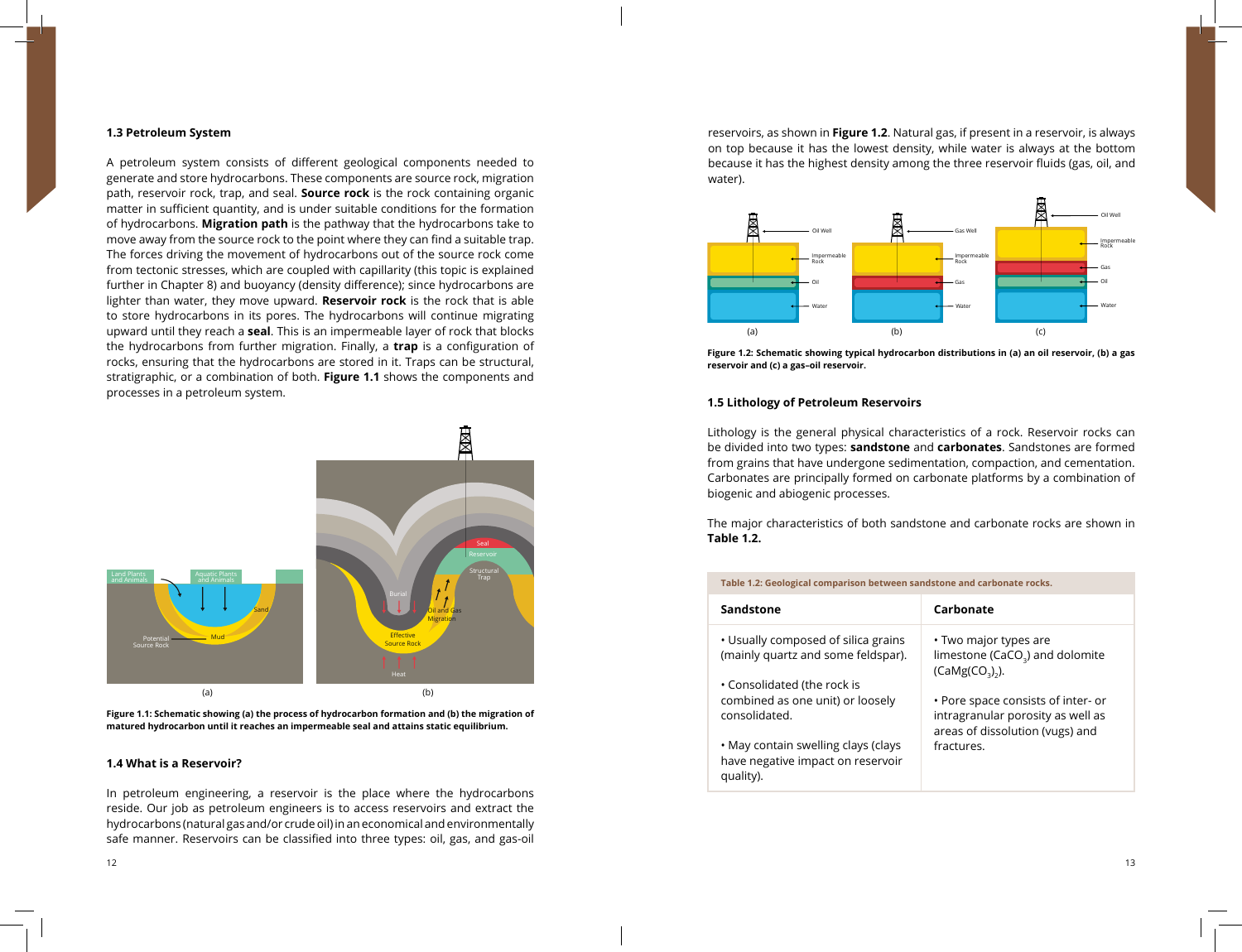## **1.3 Petroleum System**

A petroleum system consists of different geological components needed to generate and store hydrocarbons. These components are source rock, migration path, reservoir rock, trap, and seal. **Source rock** is the rock containing organic matter in sufficient quantity, and is under suitable conditions for the formation of hydrocarbons. **Migration path** is the pathway that the hydrocarbons take to move away from the source rock to the point where they can find a suitable trap. The forces driving the movement of hydrocarbons out of the source rock come from tectonic stresses, which are coupled with capillarity (this topic is explained further in Chapter 8) and buoyancy (density difference); since hydrocarbons are lighter than water, they move upward. **Reservoir rock** is the rock that is able to store hydrocarbons in its pores. The hydrocarbons will continue migrating upward until they reach a **seal**. This is an impermeable layer of rock that blocks the hydrocarbons from further migration. Finally, a **trap** is a configuration of rocks, ensuring that the hydrocarbons are stored in it. Traps can be structural, stratigraphic, or a combination of both. **Figure 1.1** shows the components and processes in a petroleum system.



**Figure 1.1: Schematic showing (a) the process of hydrocarbon formation and (b) the migration of matured hydrocarbon until it reaches an impermeable seal and attains static equilibrium.**

### **1.4 What is a Reservoir?**

In petroleum engineering, a reservoir is the place where the hydrocarbons reside. Our job as petroleum engineers is to access reservoirs and extract the hydrocarbons (natural gas and/or crude oil) in an economical and environmentally safe manner. Reservoirs can be classified into three types: oil, gas, and gas-oil

reservoirs, as shown in **Figure 1.2**. Natural gas, if present in a reservoir, is always on top because it has the lowest density, while water is always at the bottom because it has the highest density among the three reservoir fluids (gas, oil, and water).



**Figure 1.2: Schematic showing typical hydrocarbon distributions in (a) an oil reservoir, (b) a gas reservoir and (c) a gas–oil reservoir.**

## **1.5 Lithology of Petroleum Reservoirs**

Lithology is the general physical characteristics of a rock. Reservoir rocks can be divided into two types: **sandstone** and **carbonates**. Sandstones are formed from grains that have undergone sedimentation, compaction, and cementation. Carbonates are principally formed on carbonate platforms by a combination of biogenic and abiogenic processes.

The major characteristics of both sandstone and carbonate rocks are shown in **Table 1.2.**

#### **Table 1.2: Geological comparison between sandstone and carbonate rocks.**

| Sandstone                                                                             | Carbonate                                                                                                  |
|---------------------------------------------------------------------------------------|------------------------------------------------------------------------------------------------------------|
| • Usually composed of silica grains<br>(mainly quartz and some feldspar).             | • Two major types are<br>limestone (CaCO <sub>3</sub> ) and dolomite<br>$(CaMg(CO3)2)$ .                   |
| • Consolidated (the rock is<br>combined as one unit) or loosely<br>consolidated.      | • Pore space consists of inter- or<br>intragranular porosity as well as<br>areas of dissolution (vugs) and |
| • May contain swelling clays (clays<br>have negative impact on reservoir<br>quality). | fractures.                                                                                                 |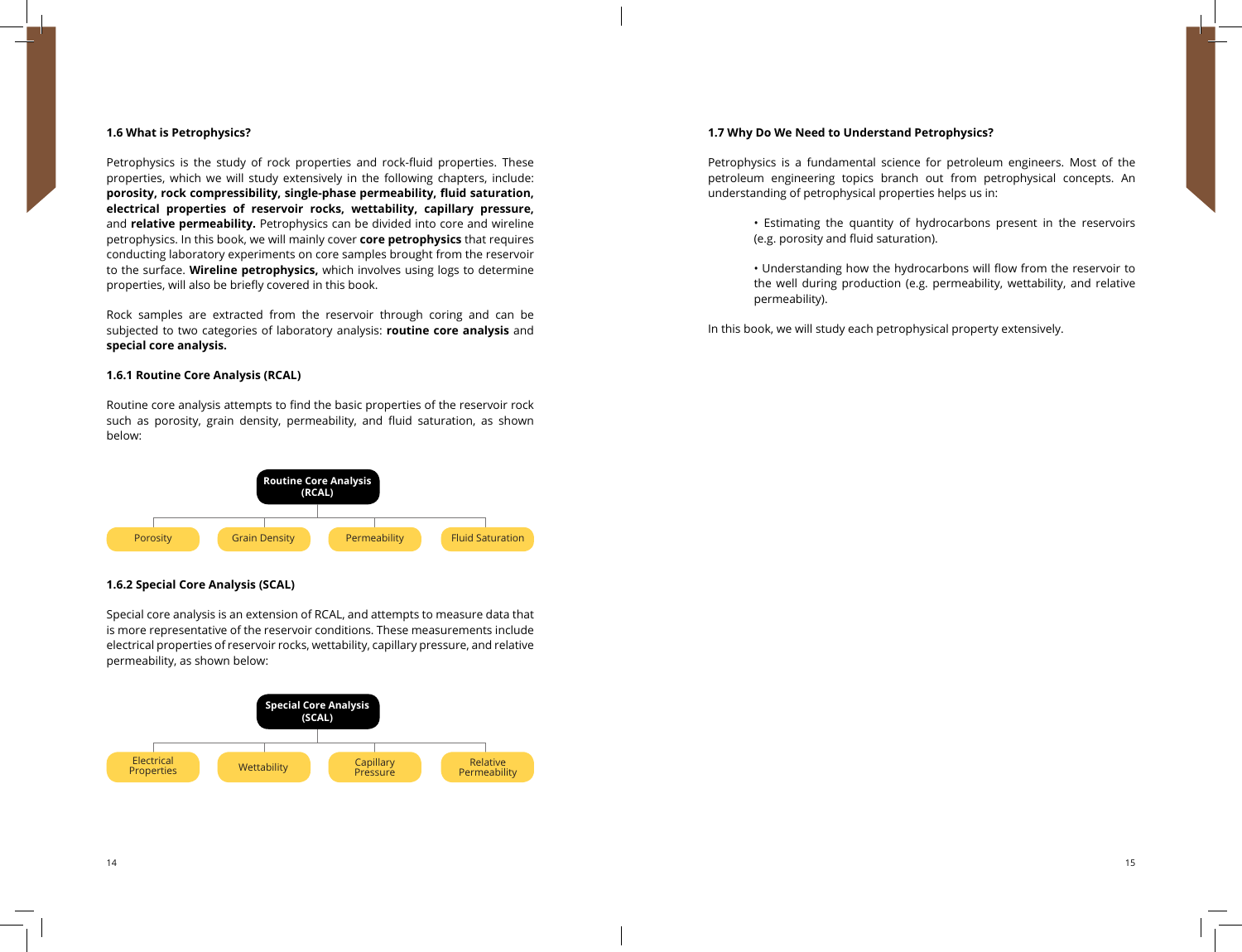# **1.6 What is Petrophysics?**

Petrophysics is the study of rock properties and rock-fluid properties. These properties, which we will study extensively in the following chapters, include: **porosity, rock compressibility, single-phase permeability, fluid saturation, electrical properties of reservoir rocks, wettability, capillary pressure,**  and **relative permeability.** Petrophysics can be divided into core and wireline petrophysics. In this book, we will mainly cover **core petrophysics** that requires conducting laboratory experiments on core samples brought from the reservoir to the surface. **Wireline petrophysics,** which involves using logs to determine properties, will also be briefly covered in this book.

Rock samples are extracted from the reservoir through coring and can be subjected to two categories of laboratory analysis: **routine core analysis** and **special core analysis.**

# **1.6.1 Routine Core Analysis (RCAL)**

Routine core analysis attempts to find the basic properties of the reservoir rock such as porosity, grain density, permeability, and fluid saturation, as shown below:



# **1.6.2 Special Core Analysis (SCAL)**

Special core analysis is an extension of RCAL, and attempts to measure data that is more representative of the reservoir conditions. These measurements include electrical properties of reservoir rocks, wettability, capillary pressure, and relative permeability, as shown below:



### **1.7 Why Do We Need to Understand Petrophysics?**

Petrophysics is a fundamental science for petroleum engineers. Most of the petroleum engineering topics branch out from petrophysical concepts. An understanding of petrophysical properties helps us in:

- Estimating the quantity of hydrocarbons present in the reservoirs (e.g. porosity and fluid saturation).
- Understanding how the hydrocarbons will flow from the reservoir to the well during production (e.g. permeability, wettability, and relative permeability).

In this book, we will study each petrophysical property extensively.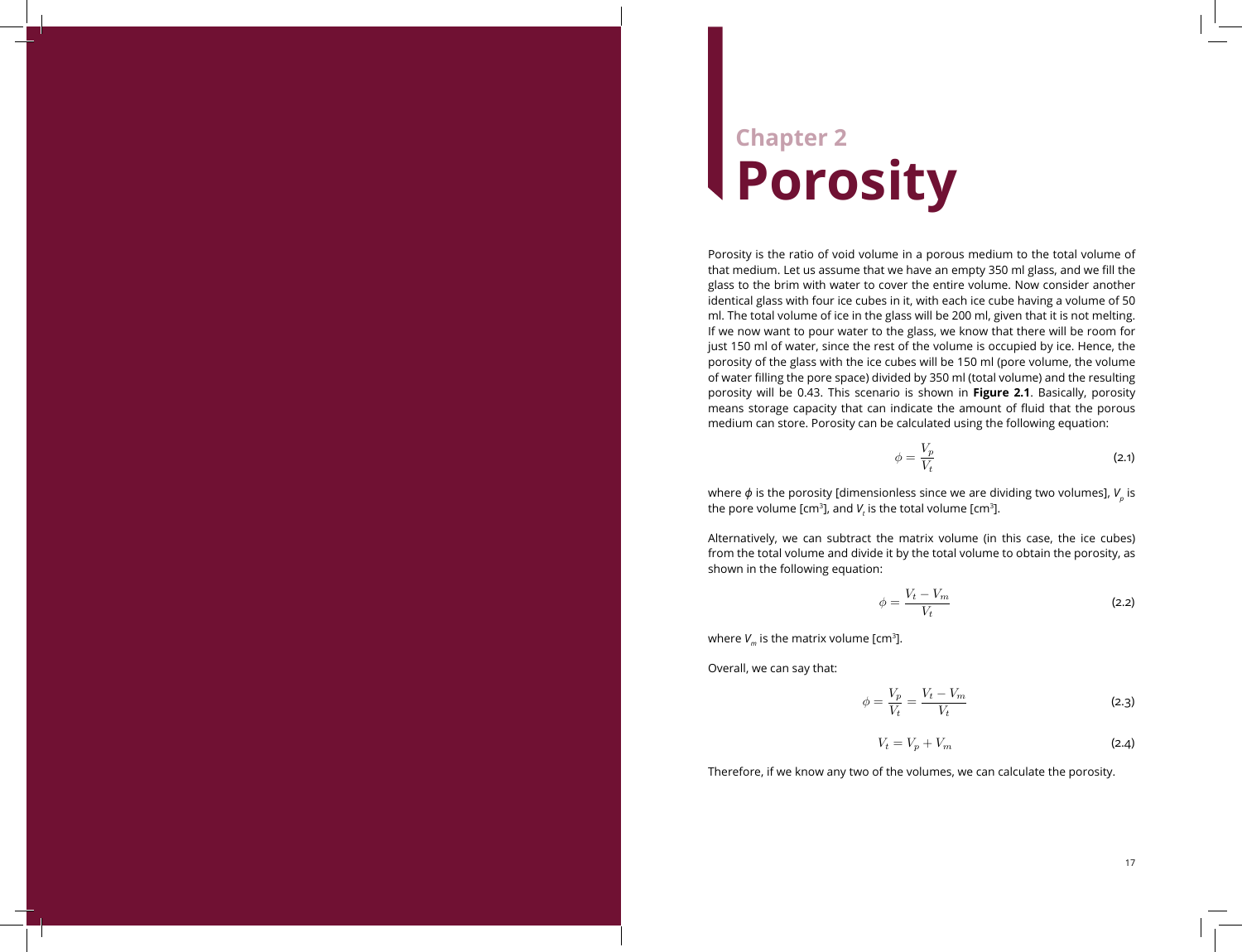# **Chapter 2 Porosity**

Porosity is the ratio of void volume in a porous medium to the total volume of that medium. Let us assume that we have an empty 350 ml glass, and we fill the glass to the brim with water to cover the entire volume. Now consider another identical glass with four ice cubes in it, with each ice cube having a volume of 50 ml. The total volume of ice in the glass will be 200 ml, given that it is not melting. If we now want to pour water to the glass, we know that there will be room for just 150 ml of water, since the rest of the volume is occupied by ice. Hence, the porosity of the glass with the ice cubes will be 150 ml (pore volume, the volume of water filling the pore space) divided by 350 ml (total volume) and the resulting porosity will be 0.43. This scenario is shown in **Figure 2.1**. Basically, porosity means storage capacity that can indicate the amount of fluid that the porous medium can store. Porosity can be calculated using the following equation:

$$
=\frac{V_p}{V_t}
$$
 (2.1)

where  $\phi$  is the porosity [dimensionless since we are dividing two volumes],  $V_{_{\rho}}$  is the pore volume [cm<sup>3</sup>], and  $V_t$  is the total volume [cm<sup>3</sup>].

 $\phi$ 

Alternatively, we can subtract the matrix volume (in this case, the ice cubes) from the total volume and divide it by the total volume to obtain the porosity, as shown in the following equation:

$$
\phi = \frac{V_t - V_m}{V_t} \tag{2.2}
$$

where  $V_m$  is the matrix volume [cm<sup>3</sup>].

Overall, we can say that:

$$
\phi = \frac{V_p}{V_t} = \frac{V_t - V_m}{V_t} \tag{2.3}
$$

$$
V_t = V_p + V_m \tag{2.4}
$$

Therefore, if we know any two of the volumes, we can calculate the porosity.